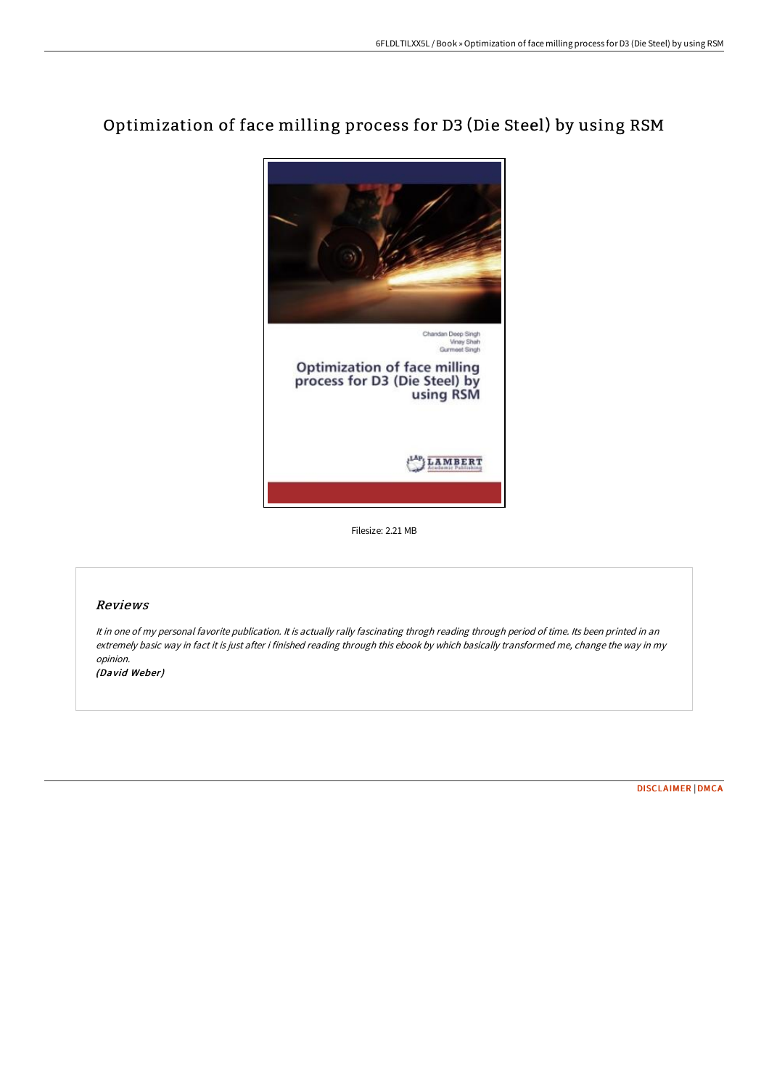# Optimization of face milling process for D3 (Die Steel) by using RSM



Filesize: 2.21 MB

## Reviews

It in one of my personal favorite publication. It is actually rally fascinating throgh reading through period of time. Its been printed in an extremely basic way in fact it is just after i finished reading through this ebook by which basically transformed me, change the way in my opinion.

(David Weber)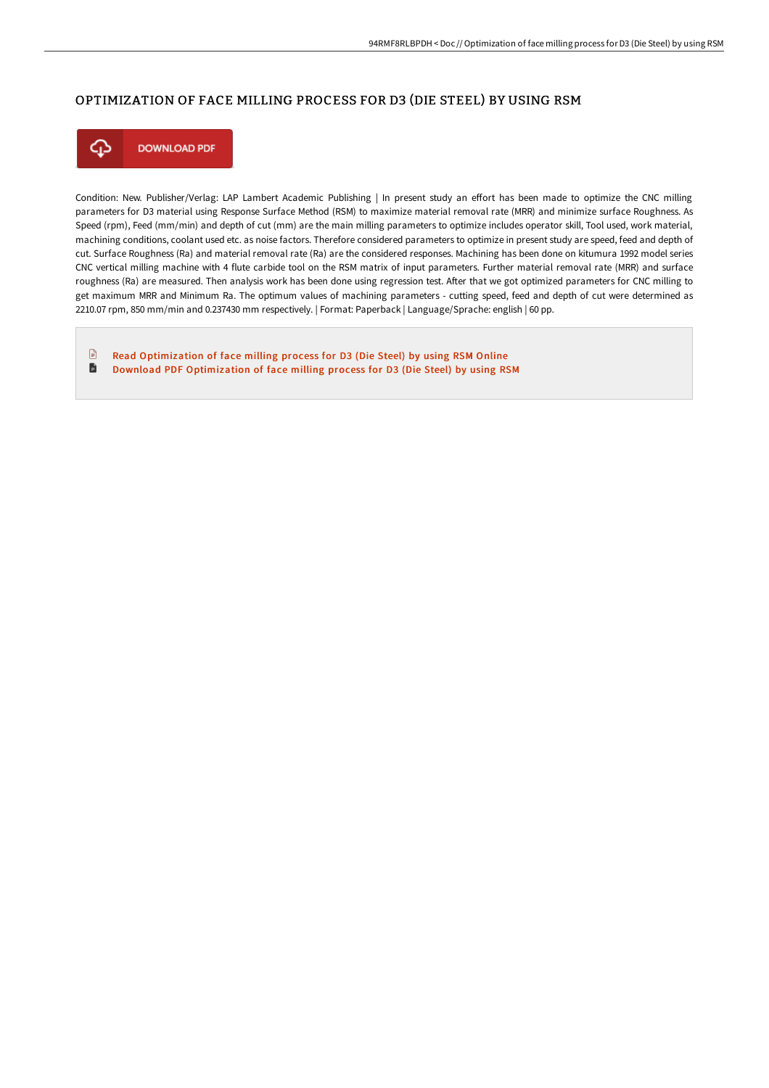### OPTIMIZATION OF FACE MILLING PROCESS FOR D3 (DIE STEEL) BY USING RSM



Condition: New. Publisher/Verlag: LAP Lambert Academic Publishing | In present study an effort has been made to optimize the CNC milling parameters for D3 material using Response Surface Method (RSM) to maximize material removal rate (MRR) and minimize surface Roughness. As Speed (rpm), Feed (mm/min) and depth of cut (mm) are the main milling parameters to optimize includes operator skill, Tool used, work material, machining conditions, coolant used etc. as noise factors. Therefore considered parameters to optimize in present study are speed, feed and depth of cut. Surface Roughness (Ra) and material removal rate (Ra) are the considered responses. Machining has been done on kitumura 1992 model series CNC vertical milling machine with 4 flute carbide tool on the RSM matrix of input parameters. Further material removal rate (MRR) and surface roughness (Ra) are measured. Then analysis work has been done using regression test. After that we got optimized parameters for CNC milling to get maximum MRR and Minimum Ra. The optimum values of machining parameters - cutting speed, feed and depth of cut were determined as 2210.07 rpm, 850 mm/min and 0.237430 mm respectively. | Format: Paperback | Language/Sprache: english | 60 pp.

 $\mathbf{r}$ Read [Optimization](http://albedo.media/optimization-of-face-milling-process-for-d3-die-.html) of face milling process for D3 (Die Steel) by using RSM Online D Download PDF [Optimization](http://albedo.media/optimization-of-face-milling-process-for-d3-die-.html) of face milling process for D3 (Die Steel) by using RSM